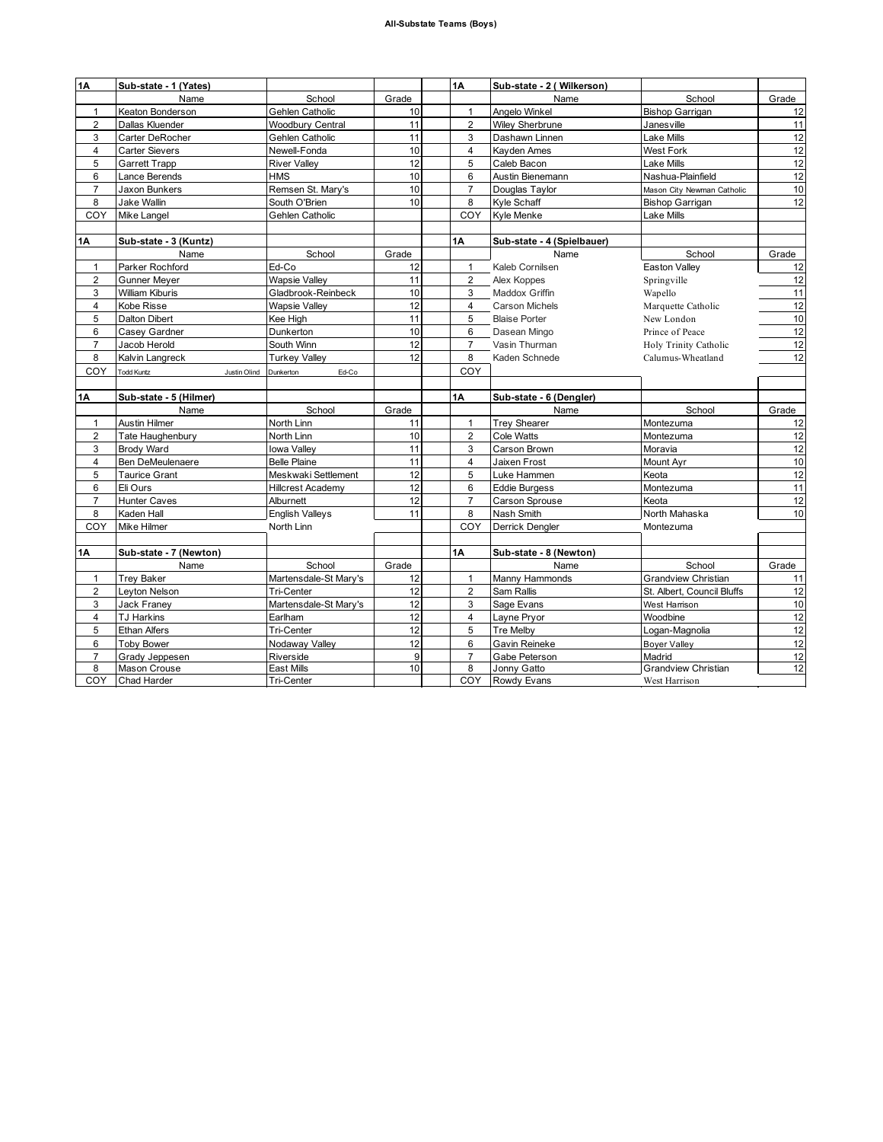| 1A                  | Sub-state - 1 (Yates)                 |                                |         | 1А                  | Sub-state - 2 (Wilkerson)    |                                      |                                                                |
|---------------------|---------------------------------------|--------------------------------|---------|---------------------|------------------------------|--------------------------------------|----------------------------------------------------------------|
|                     | Name                                  | School                         | Grade   |                     | Name                         | School                               | Grade                                                          |
| 1                   | Keaton Bonderson                      | Gehlen Catholic                | 10      | $\mathbf{1}$        | Angelo Winkel                | Bishop Garrigan                      | 12                                                             |
| $\overline{2}$      | Dallas Kluender                       | <b>Woodbury Central</b>        | 11      | $\overline{2}$      | <b>Wiley Sherbrune</b>       | Janesville                           | 11                                                             |
| 3                   | Carter DeRocher                       | Gehlen Catholic                | 11      | 3                   | Dashawn Linnen               | Lake Mills                           | 12                                                             |
| 4                   | <b>Carter Sievers</b>                 | Newell-Fonda                   | 10      | $\overline{4}$      | Kayden Ames                  | West Fork                            | 12                                                             |
| 5                   | <b>Garrett Trapp</b>                  | <b>River Valley</b>            | 12      | 5                   | Caleb Bacon                  | Lake Mills                           | 12                                                             |
| 6                   | Lance Berends                         | <b>HMS</b>                     | 10      | 6                   | Austin Bienemann             | Nashua-Plainfield                    | 12                                                             |
| $\overline{7}$      | Jaxon Bunkers                         | Remsen St. Mary's              | 10      | $\overline{7}$      | Douglas Taylor               | Mason City Newman Catholic           | 10                                                             |
| 8                   | Jake Wallin                           | South O'Brien                  | 10      | 8                   | Kyle Schaff                  | <b>Bishop Garrigan</b>               | 12                                                             |
| COY                 | Mike Langel                           | Gehlen Catholic                |         | COY                 | Kyle Menke                   | Lake Mills                           |                                                                |
|                     |                                       |                                |         |                     |                              |                                      |                                                                |
| <b>1A</b>           | Sub-state - 3 (Kuntz)                 |                                |         | <b>1A</b>           | Sub-state - 4 (Spielbauer)   |                                      |                                                                |
|                     | Name                                  | School                         | Grade   |                     | Name                         | School                               | Grade                                                          |
| 1                   | Parker Rochford                       | Ed-Co                          | 12      | $\mathbf{1}$        | Kaleb Cornilsen              | Easton Valley                        | 12                                                             |
| 2                   | <b>Gunner Meyer</b>                   | <b>Wapsie Valley</b>           | 11      | 2                   | Alex Koppes                  | Springville                          | 12                                                             |
| 3                   | <b>William Kiburis</b>                | Gladbrook-Reinbeck             | 10      | 3                   | Maddox Griffin               | Wapello                              | 11                                                             |
| 4                   | Kobe Risse                            | <b>Wapsie Valley</b>           | 12      | $\overline{4}$      | <b>Carson Michels</b>        | Marquette Catholic                   | 12                                                             |
| 5                   | <b>Dalton Dibert</b>                  | Kee High                       | 11      | 5                   | <b>Blaise Porter</b>         | New London                           | 10                                                             |
| 6                   | Casey Gardner                         | Dunkerton                      | 10      | 6                   | Dasean Mingo                 | Prince of Peace                      | 12                                                             |
| $\overline{7}$      | Jacob Herold                          | South Winn                     | 12      | $\overline{7}$      | Vasin Thurman                | Holy Trinity Catholic                | 12                                                             |
| 8                   | Kalvin Langreck                       | <b>Turkey Valley</b>           | 12      | 8                   | Kaden Schnede                | Calumus-Wheatland                    | 12                                                             |
| COY                 |                                       |                                |         | COY                 |                              |                                      |                                                                |
|                     | <b>Todd Kuntz</b><br>Justin Olind     | Dunkerton<br>Ed-Co             |         |                     |                              |                                      |                                                                |
| 1Α                  | Sub-state - 5 (Hilmer)                |                                |         | $1\text{\AA}$       | Sub-state - 6 (Dengler)      |                                      |                                                                |
|                     | Name                                  | School                         | Grade   |                     | Name                         | School                               | Grade                                                          |
| $\mathbf{1}$        | Austin Hilmer                         | North Linn                     | 11      | $\mathbf{1}$        | <b>Trey Shearer</b>          | Montezuma                            | 12                                                             |
| $\overline{2}$      | Tate Haughenbury                      | North Linn                     | 10      | $\overline{2}$      | Cole Watts                   | Montezuma                            | 12                                                             |
| 3                   | Brody Ward                            | <b>Iowa Valley</b>             | 11      | 3                   | Carson Brown                 | Moravia                              | 12                                                             |
| $\overline{4}$      | <b>Ben DeMeulenaere</b>               | <b>Belle Plaine</b>            | 11      | $\overline{4}$      | Jaixen Frost                 | Mount Ayr                            | 10                                                             |
| 5                   | <b>Taurice Grant</b>                  | Meskwaki Settlement            | 12      | 5                   | Luke Hammen                  | Keota                                | 12                                                             |
| 6                   | Eli Ours                              | <b>Hillcrest Academy</b>       |         |                     |                              |                                      |                                                                |
| $\overline{7}$      |                                       |                                |         |                     |                              |                                      |                                                                |
|                     |                                       |                                | 12      | 6                   | <b>Eddie Burgess</b>         | Montezuma                            |                                                                |
|                     | <b>Hunter Caves</b>                   | Alburnett                      | 12      | $\overline{7}$      | <b>Carson Sprouse</b>        | Keota                                |                                                                |
| 8                   | Kaden Hall                            | <b>English Valleys</b>         | 11      | 8                   | Nash Smith                   | North Mahaska                        |                                                                |
| COY                 | Mike Hilmer                           | North Linn                     |         | COY                 | Derrick Dengler              | Montezuma                            |                                                                |
|                     |                                       |                                |         |                     |                              |                                      |                                                                |
| 1A                  | Sub-state - 7 (Newton)                |                                |         | 1A                  | Sub-state - 8 (Newton)       |                                      |                                                                |
|                     | Name                                  | School                         | Grade   |                     | Name                         | School                               | Grade                                                          |
| 1                   | <b>Trey Baker</b>                     | Martensdale-St Mary's          | 12      | $\mathbf{1}$        | Manny Hammonds               | Grandview Christian                  |                                                                |
| $\overline{2}$      | Leyton Nelson                         | Tri-Center                     | 12      | $\overline{2}$      | Sam Rallis                   | St. Albert, Council Bluffs           |                                                                |
| 3                   | <b>Jack Franey</b>                    | Martensdale-St Mary's          | 12      | 3                   | Sage Evans                   | West Harrison                        |                                                                |
| $\overline{4}$      | <b>TJ Harkins</b>                     | Earlham                        | 12      | $\overline{4}$      | Layne Pryor                  | Woodbine                             |                                                                |
| 5                   | <b>Ethan Alfers</b>                   | Tri-Center                     | 12      | 5                   | Tre Melby                    | Logan-Magnolia                       |                                                                |
| 6                   | <b>Toby Bower</b>                     | Nodaway Valley                 | 12      | 6                   | Gavin Reineke                | <b>Boyer Valley</b>                  |                                                                |
| $\overline{7}$<br>8 | Grady Jeppesen<br><b>Mason Crouse</b> | Riverside<br><b>East Mills</b> | 9<br>10 | $\overline{7}$<br>8 | Gabe Peterson<br>Jonny Gatto | Madrid<br><b>Grandview Christian</b> | 11<br>12<br>10<br>11<br>12<br>10<br>12<br>12<br>12<br>12<br>12 |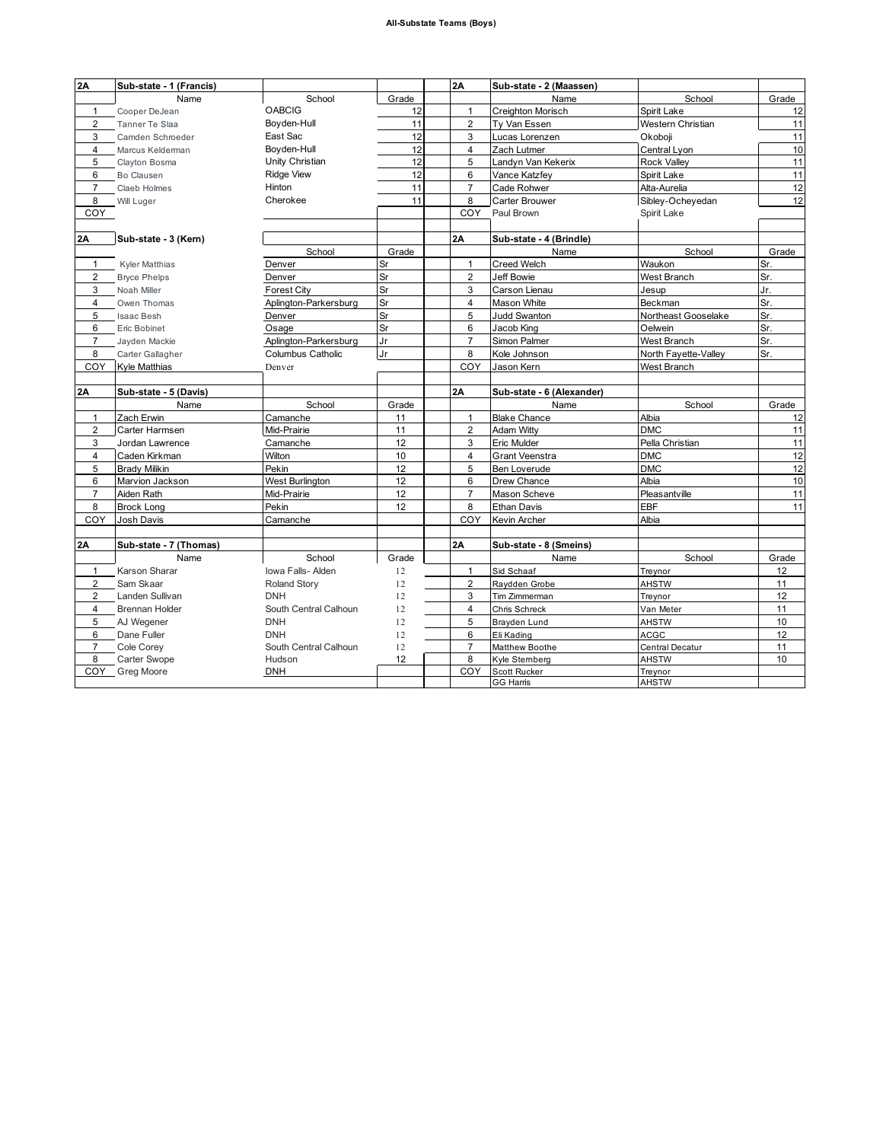| 2A             | Sub-state - 1 (Francis) |                          |       | 2A             | Sub-state - 2 (Maassen)          |                         |       |
|----------------|-------------------------|--------------------------|-------|----------------|----------------------------------|-------------------------|-------|
|                | Name                    | School                   | Grade |                | Name                             | School                  | Grade |
| $\mathbf{1}$   | Cooper DeJean           | <b>OABCIG</b>            | 12    | $\mathbf{1}$   | Creighton Morisch                | Spirit Lake             | 12    |
| $\overline{2}$ | Tanner Te Slaa          | Boyden-Hull              | 11    | $\overline{2}$ | Ty Van Essen                     | Western Christian       | 11    |
| 3              | Camden Schroeder        | East Sac                 | 12    | 3              | Lucas Lorenzen                   | Okoboji                 | 11    |
| $\overline{4}$ | Marcus Kelderman        | Bovden-Hull              | 12    | $\overline{4}$ | Zach Lutmer                      | Central Lyon            | 10    |
| 5              | Clayton Bosma           | Unity Christian          | 12    | 5              | Landyn Van Kekerix               | <b>Rock Valley</b>      | 11    |
| 6              | Bo Clausen              | <b>Ridge View</b>        | 12    | 6              | Vance Katzfey                    | Spirit Lake             | 11    |
| $\overline{7}$ | Claeb Holmes            | Hinton                   | 11    | $\overline{7}$ | Cade Rohwer                      | Alta-Aurelia            | 12    |
| 8              | Will Luger              | Cherokee                 | 11    | 8              | Carter Brouwer                   | Sibley-Ocheyedan        | 12    |
| COY            |                         |                          |       | COY            | Paul Brown                       | Spirit Lake             |       |
|                |                         |                          |       |                |                                  |                         |       |
| 2A             | Sub-state - 3 (Kern)    |                          |       | 2A             | Sub-state - 4 (Brindle)          |                         |       |
|                |                         | School                   | Grade |                | Name                             | School                  | Grade |
| $\mathbf{1}$   | Kyler Matthias          | Denver                   | Sr    | $\mathbf{1}$   | <b>Creed Welch</b>               | Waukon                  | Sr.   |
| $\overline{2}$ | <b>Bryce Phelps</b>     | Denver                   | Sr    | $\overline{2}$ | <b>Jeff Bowie</b>                | West Branch             | Sr.   |
| 3              | Noah Miller             | <b>Forest City</b>       | Sr    | 3              | Carson Lienau                    | Jesup                   | Jr.   |
| 4              | Owen Thomas             | Aplington-Parkersburg    | Sr    | $\overline{4}$ | Mason White                      | Beckman                 | Sr.   |
| 5              | <b>Isaac Besh</b>       | Denver                   | Sr    | 5              | <b>Judd Swanton</b>              | Northeast Gooselake     | Sr.   |
| 6              | Eric Bobinet            | Osage                    | Sr    | 6              | Jacob King                       | Oelwein                 | Sr.   |
| $\overline{7}$ | Jayden Mackie           | Aplington-Parkersburg    | Jr    | $\overline{7}$ | Simon Palmer                     | West Branch             | Sr.   |
| 8              | Carter Gallagher        | <b>Columbus Catholic</b> | Jr    | 8              | Kole Johnson                     | North Fayette-Valley    | Sr.   |
| COY            | Kyle Matthias           | Denver                   |       | COY            | Jason Kern                       | West Branch             |       |
|                |                         |                          |       |                |                                  |                         |       |
| 2A             | Sub-state - 5 (Davis)   |                          |       | 2A             | Sub-state - 6 (Alexander)        |                         |       |
|                | Name                    | School                   | Grade |                | Name                             | School                  | Grade |
| $\mathbf{1}$   | Zach Erwin              | Camanche                 | 11    | $\mathbf{1}$   | <b>Blake Chance</b>              | Albia                   | 12    |
| $\overline{c}$ | Carter Harmsen          | Mid-Prairie              | 11    | $\mathbf 2$    | <b>Adam Witty</b>                | <b>DMC</b>              | 11    |
| 3              | Jordan Lawrence         | Camanche                 | 12    | 3              | Eric Mulder                      | Pella Christian         | 11    |
| 4              | Caden Kirkman           | Wilton                   | 10    | $\overline{4}$ | <b>Grant Veenstra</b>            | <b>DMC</b>              | 12    |
| 5              | <b>Brady Milikin</b>    | Pekin                    | 12    | 5              | Ben Loverude                     | <b>DMC</b>              | 12    |
| 6              | Marvion Jackson         | West Burlington          | 12    | 6              | Drew Chance                      | Albia                   | 10    |
| $\overline{7}$ | Aiden Rath              | Mid-Prairie              | 12    | $\overline{7}$ | Mason Scheve                     | Pleasantville           | 11    |
| 8              | <b>Brock Long</b>       | Pekin                    | 12    | 8              | Ethan Davis                      | <b>EBF</b>              | 11    |
| COY            | <b>Josh Davis</b>       | Camanche                 |       | COY            | Kevin Archer                     | Albia                   |       |
|                |                         |                          |       |                |                                  |                         |       |
| 2A             | Sub-state - 7 (Thomas)  |                          |       | 2A             | Sub-state - 8 (Smeins)           |                         |       |
|                | Name                    | School                   | Grade |                | Name                             | School                  | Grade |
| $\mathbf{1}$   | Karson Sharar           | Iowa Falls- Alden        | 12    | $\mathbf{1}$   | Sid Schaaf                       | Treynor                 | 12    |
| $\overline{2}$ | Sam Skaar               | <b>Roland Story</b>      | 12    | 2              | Raydden Grobe                    | <b>AHSTW</b>            | 11    |
| $\overline{2}$ | Landen Sullivan         | <b>DNH</b>               | 12    | 3              | Tim Zimmerman                    | Treynor                 | 12    |
| 4              | <b>Brennan Holder</b>   | South Central Calhoun    | 12    | $\overline{4}$ | Chris Schreck                    | Van Meter               | 11    |
| 5              | AJ Wegener              | <b>DNH</b>               | 12    | 5              | Brayden Lund                     | <b>AHSTW</b>            | 10    |
| 6              | Dane Fuller             | <b>DNH</b>               | 12    | 6              | Eli Kading                       | <b>ACGC</b>             | 12    |
| $\overline{7}$ | Cole Corev              | South Central Calhoun    | 12    | $\overline{7}$ | Matthew Boothe                   | Central Decatur         | 11    |
| 8              | Carter Swope            | Hudson                   | 12    | 8              | Kyle Sternberg                   | <b>AHSTW</b>            | 10    |
|                | COY Greg Moore          | DNH                      |       | COY            | Scott Rucker<br><b>GG Harris</b> | Treynor<br><b>AHSTW</b> |       |
|                |                         |                          |       |                |                                  |                         |       |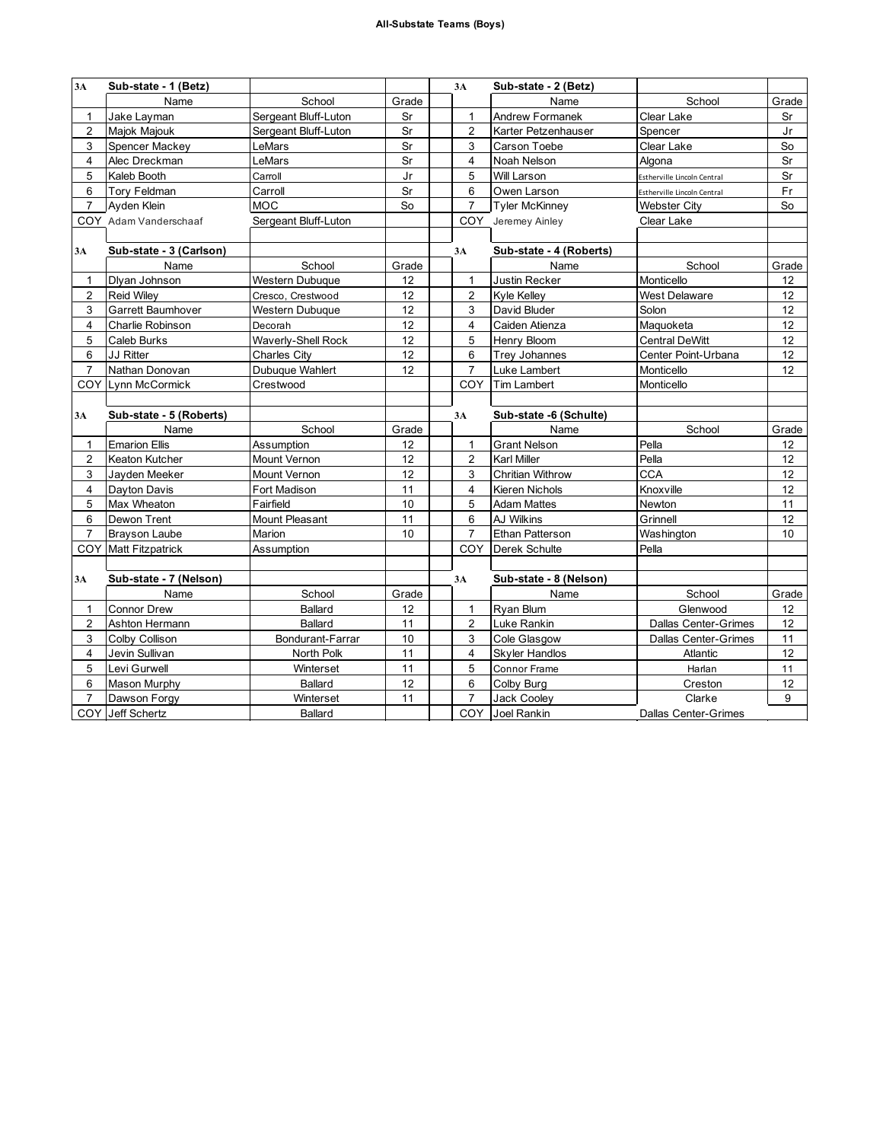| 3A                      | Sub-state - 1 (Betz)        |                        |       | 3A             | Sub-state - 2 (Betz)    |                             |       |
|-------------------------|-----------------------------|------------------------|-------|----------------|-------------------------|-----------------------------|-------|
|                         | Name                        | School                 | Grade |                | Name                    | School                      | Grade |
| 1                       | Jake Layman                 | Sergeant Bluff-Luton   | Sr    | 1              | Andrew Formanek         | Clear Lake                  | Sr    |
| $\overline{2}$          | Majok Majouk                | Sergeant Bluff-Luton   | Sr    | $\overline{2}$ | Karter Petzenhauser     | Spencer                     | Jr    |
| 3                       | Spencer Mackey              | LeMars                 | Sr    | 3              | Carson Toebe            | Clear Lake                  | So    |
| 4                       | Alec Dreckman               | LeMars                 | Sr    | $\overline{4}$ | Noah Nelson             | Algona                      | Sr    |
| 5                       | Kaleb Booth                 | Carroll                | Jr    | 5              | Will Larson             | Estherville Lincoln Central | Sr    |
| 6                       | Tory Feldman                | Carroll                | Sr    | 6              | Owen Larson             | Estherville Lincoln Central | Fr    |
| $\overline{7}$          | Ayden Klein                 | <b>MOC</b>             | So    | $\overline{7}$ | <b>Tyler McKinney</b>   | <b>Webster City</b>         | So    |
|                         | COY Adam Vanderschaaf       | Sergeant Bluff-Luton   |       |                | COY_Jeremey Ainley      | Clear Lake                  |       |
|                         |                             |                        |       |                |                         |                             |       |
| 3A                      | Sub-state - 3 (Carlson)     |                        |       | 3A             | Sub-state - 4 (Roberts) |                             |       |
|                         | Name                        | School                 | Grade |                | Name                    | School                      | Grade |
| $\mathbf{1}$            | Dlyan Johnson               | <b>Western Dubuque</b> | 12    | $\mathbf{1}$   | Justin Recker           | Monticello                  | 12    |
| $\overline{\mathbf{c}}$ | <b>Reid Wiley</b>           | Cresco, Crestwood      | 12    | $\overline{2}$ | Kyle Kelley             | <b>West Delaware</b>        | 12    |
| 3                       | Garrett Baumhover           | Western Dubuque        | 12    | 3              | David Bluder            | Solon                       | 12    |
| $\overline{4}$          | Charlie Robinson            | Decorah                | 12    | $\overline{4}$ | Caiden Atienza          | Maguoketa                   | 12    |
| 5                       | Caleb Burks                 | Waverly-Shell Rock     | 12    | 5              | Henry Bloom             | <b>Central DeWitt</b>       | 12    |
| 6                       | <b>JJ Ritter</b>            | Charles City           | 12    | 6              | <b>Trey Johannes</b>    | Center Point-Urbana         | 12    |
| $\overline{7}$          | Nathan Donovan              | Dubuque Wahlert        | 12    | $\overline{7}$ | Luke Lambert            | Monticello                  | 12    |
|                         | COY Lynn McCormick          | Crestwood              |       | COY            | Tim Lambert             | Monticello                  |       |
|                         |                             |                        |       |                |                         |                             |       |
| 3A                      | Sub-state - 5 (Roberts)     |                        |       | 3A             | Sub-state -6 (Schulte)  |                             |       |
|                         | Name                        | School                 | Grade |                | Name                    | School                      | Grade |
| 1                       | <b>Emarion Ellis</b>        | Assumption             | 12    | $\mathbf{1}$   | <b>Grant Nelson</b>     | Pella                       | 12    |
| $\overline{2}$          | Keaton Kutcher              | Mount Vernon           | 12    | 2              | <b>Karl Miller</b>      | Pella                       | 12    |
| 3                       | Jayden Meeker               | <b>Mount Vernon</b>    | 12    | 3              | <b>Chritian Withrow</b> | <b>CCA</b>                  | 12    |
| $\overline{4}$          | Dayton Davis                | Fort Madison           | 11    | $\overline{4}$ | Kieren Nichols          | Knoxville                   | 12    |
| 5                       | Max Wheaton                 | Fairfield              | 10    | 5              | <b>Adam Mattes</b>      | Newton                      | 11    |
| 6                       | Dewon Trent                 | <b>Mount Pleasant</b>  | 11    | 6              | AJ Wilkins              | Grinnell                    | 12    |
| $\overline{7}$          | <b>Brayson Laube</b>        | Marion                 | 10    | $\overline{7}$ | Ethan Patterson         | Washington                  | 10    |
|                         | <b>COY Matt Fitzpatrick</b> | Assumption             |       | COY.           | Derek Schulte           | Pella                       |       |
|                         |                             |                        |       |                |                         |                             |       |
| 3A                      | Sub-state - 7 (Nelson)      |                        |       | 3A             | Sub-state - 8 (Nelson)  |                             |       |
|                         | Name                        | School                 | Grade |                | Name                    | School                      | Grade |
| 1                       | <b>Connor Drew</b>          | Ballard                | 12    | $\mathbf{1}$   | Ryan Blum               | Glenwood                    | 12    |
| $\overline{2}$          | Ashton Hermann              | <b>Ballard</b>         | 11    | $\overline{2}$ | Luke Rankin             | <b>Dallas Center-Grimes</b> | 12    |
| 3                       | Colby Collison              | Bondurant-Farrar       | 10    | 3              | Cole Glasgow            | <b>Dallas Center-Grimes</b> | 11    |
| 4                       | Jevin Sullivan              | North Polk             | 11    | $\overline{4}$ | <b>Skyler Handlos</b>   | Atlantic                    | 12    |
| 5                       | Levi Gurwell                | Winterset              | 11    | 5              | Connor Frame            | Harlan                      | 11    |
| 6                       | <b>Mason Murphy</b>         | Ballard                | 12    | 6              | Colby Burg              | Creston                     | 12    |
| $\overline{7}$          | Dawson Forgy                | Winterset              | 11    | $\overline{7}$ | <b>Jack Cooley</b>      | Clarke                      | 9     |
|                         | COY Jeff Schertz            | <b>Ballard</b>         |       | COY            | Joel Rankin             | <b>Dallas Center-Grimes</b> |       |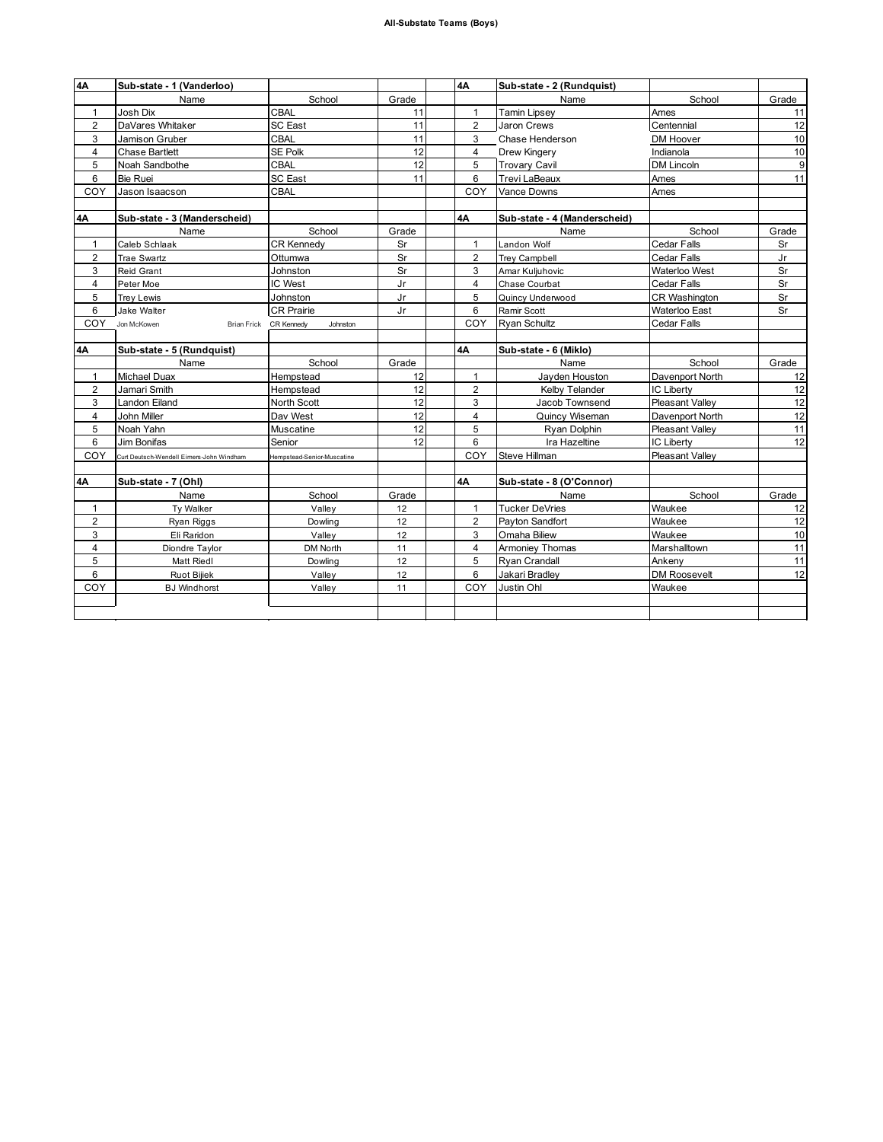| 4А             | Sub-state - 1 (Vanderloo)                |                                    |       | 4A             | Sub-state - 2 (Rundquist)    |                        |       |
|----------------|------------------------------------------|------------------------------------|-------|----------------|------------------------------|------------------------|-------|
|                | Name                                     | School                             | Grade |                | Name                         | School                 | Grade |
| $\mathbf{1}$   | Josh Dix                                 | <b>CBAL</b>                        | 11    | $\mathbf{1}$   | <b>Tamin Lipsey</b>          | Ames                   | 11    |
| $\overline{2}$ | DaVares Whitaker                         | <b>SC East</b>                     | 11    | $\overline{2}$ | Jaron Crews                  | Centennial             | 12    |
| 3              | Jamison Gruber                           | <b>CBAL</b>                        | 11    | 3              | Chase Henderson              | DM Hoover              | 10    |
| $\overline{4}$ | <b>Chase Bartlett</b>                    | SE Polk                            | 12    | $\overline{4}$ | Drew Kingery                 | Indianola              | 10    |
| 5              | Noah Sandbothe                           | CBAL                               | 12    | 5              | <b>Trovary Cavil</b>         | <b>DM Lincoln</b>      | 9     |
| 6              | Bie Ruei                                 | <b>SC East</b>                     | 11    | 6              | Trevi LaBeaux                | Ames                   | 11    |
| COY            | Jason Isaacson                           | CBAL                               |       | COY            | Vance Downs                  | Ames                   |       |
|                |                                          |                                    |       |                |                              |                        |       |
| 4А             | Sub-state - 3 (Manderscheid)             |                                    |       | 4Α             | Sub-state - 4 (Manderscheid) |                        |       |
|                | Name                                     | School                             | Grade |                | Name                         | School                 | Grade |
| $\mathbf{1}$   | Caleb Schlaak                            | <b>CR Kennedv</b>                  | Sr    | $\mathbf{1}$   | Landon Wolf                  | Cedar Falls            | Sr    |
| $\overline{2}$ | <b>Trae Swartz</b>                       | Ottumwa                            | Sr    | $\overline{2}$ | Trey Campbell                | Cedar Falls            | Jr    |
| 3              | Reid Grant                               | Johnston                           | Sr    | 3              | Amar Kuljuhovic              | Waterloo West          | Sr    |
| 4              | Peter Moe                                | IC West                            | Jr    | 4              | Chase Courbat                | Cedar Falls            | Sr    |
| 5              | <b>Trey Lewis</b>                        | Johnston                           | Jr    | 5              | Quincy Underwood             | CR Washington          | Sr    |
| 6              | Jake Walter                              | <b>CR Prairie</b>                  | Jr    | 6              | Ramir Scott                  | Waterloo East          | Sr    |
| COY            | Jon McKowen                              | Brian Frick CR Kennedy<br>Johnston |       | COY            | <b>Rvan Schultz</b>          | Cedar Falls            |       |
|                |                                          |                                    |       |                |                              |                        |       |
| <b>4A</b>      | Sub-state - 5 (Rundquist)                |                                    |       | 4A             | Sub-state - 6 (Miklo)        |                        |       |
|                | Name                                     | School                             | Grade |                | Name                         | School                 | Grade |
| $\mathbf{1}$   | <b>Michael Duax</b>                      | Hempstead                          | 12    | $\mathbf{1}$   | Jayden Houston               | Davenport North        | 12    |
| $\overline{2}$ | Jamari Smith                             | Hempstead                          | 12    | $\overline{2}$ | Kelby Telander               | <b>IC Liberty</b>      | 12    |
| 3              | Landon Eiland                            | North Scott                        | 12    | 3              | Jacob Townsend               | <b>Pleasant Vallev</b> | 12    |
| $\overline{4}$ | John Miller                              | Dav West                           | 12    | $\overline{4}$ | Quincy Wiseman               | Davenport North        | 12    |
| 5              | Noah Yahn                                | Muscatine                          | 12    | 5              | Ryan Dolphin                 | <b>Pleasant Valley</b> | 11    |
| 6              | Jim Bonifas                              | Senior                             | 12    | 6              | Ira Hazeltine                | <b>IC Liberty</b>      | 12    |
| COY            | Curt Deutsch-Wendell Eimers-John Windham | Hempstead-Senior-Muscatine         |       | COY            | Steve Hillman                | <b>Pleasant Valley</b> |       |
|                |                                          |                                    |       |                |                              |                        |       |
| <b>4A</b>      | Sub-state - 7 (Ohl)                      |                                    |       | 4A             | Sub-state - 8 (O'Connor)     |                        |       |
|                | Name                                     | School                             | Grade |                | Name                         | School                 | Grade |
| $\mathbf{1}$   | Ty Walker                                | Valley                             | 12    | $\mathbf{1}$   | <b>Tucker DeVries</b>        | Waukee                 | 12    |
| $\overline{2}$ | Ryan Riggs                               | Dowling                            | 12    | $\overline{2}$ | Payton Sandfort              | Waukee                 | 12    |
| 3              | Eli Raridon                              | Valley                             | 12    | 3              | Omaha Biliew                 | Waukee                 | 10    |
| $\overline{4}$ | Diondre Taylor                           | DM North                           | 11    | 4              | Armoniey Thomas              | Marshalltown           | 11    |
| 5              | Matt Riedl                               | Dowling                            | 12    | 5              | Ryan Crandall                | Ankeny                 | 11    |
| 6              | Ruot Bijiek                              | Valley                             | 12    | 6              | Jakari Bradley               | DM Roosevelt           | 12    |
| COY            | <b>BJ</b> Windhorst                      | Valley                             | 11    | COY            | Justin Ohl                   | Waukee                 |       |
|                |                                          |                                    |       |                |                              |                        |       |
|                |                                          |                                    |       |                |                              |                        |       |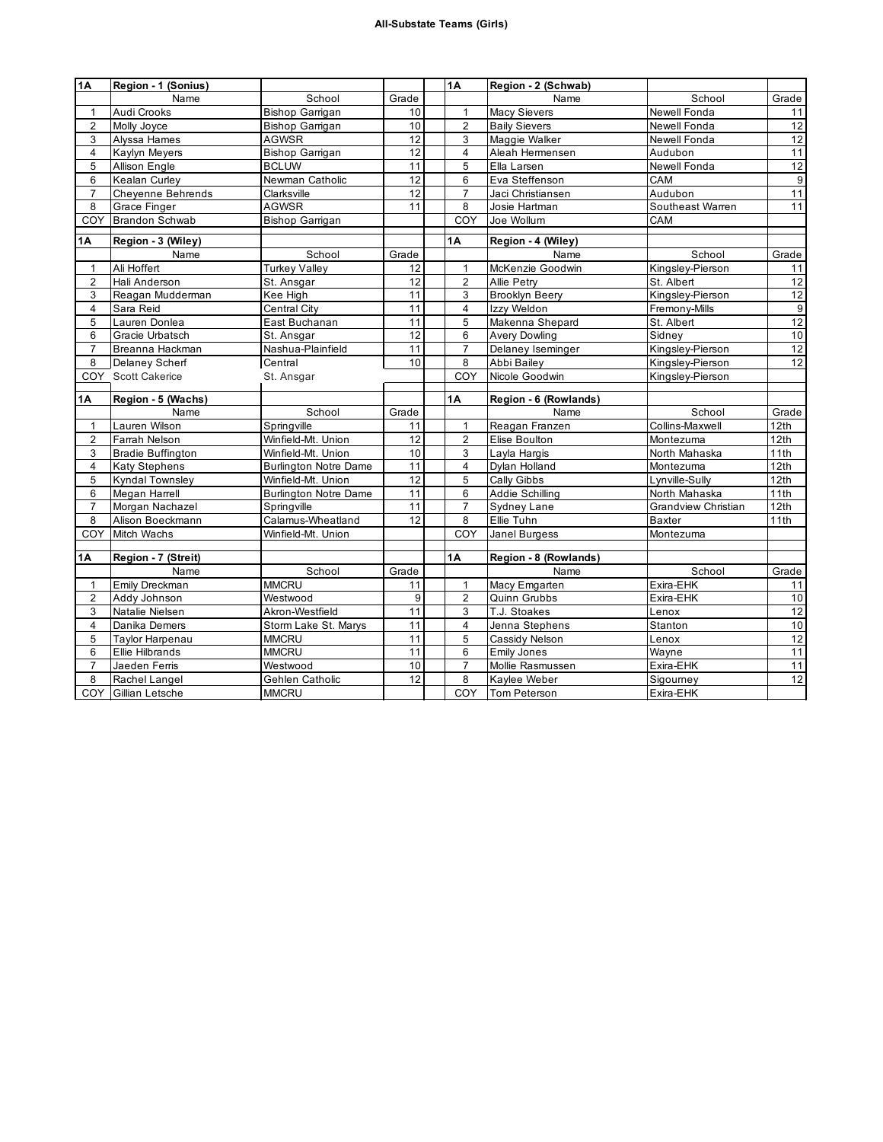| 1A                      | Region - 1 (Sonius)                  |                                 |       | 1A                      | Region - 2 (Schwab)          |                        |                  |
|-------------------------|--------------------------------------|---------------------------------|-------|-------------------------|------------------------------|------------------------|------------------|
|                         | Name                                 | School                          | Grade |                         | Name                         | School                 | Grade            |
| 1                       | Audi Crooks                          | <b>Bishop Garrigan</b>          | 10    | $\mathbf{1}$            | <b>Macy Sievers</b>          | Newell Fonda           | 11               |
| $\overline{2}$          | Molly Joyce                          | Bishop Garrigan                 | 10    | $\overline{2}$          | <b>Baily Sievers</b>         | Newell Fonda           | 12               |
| 3                       | Alyssa Hames                         | <b>AGWSR</b>                    | 12    | 3                       | Maggie Walker                | Newell Fonda           | 12               |
| 4                       | Kaylyn Meyers                        | Bishop Garrigan                 | 12    | $\overline{4}$          | Aleah Hermensen              | Audubon                | 11               |
| 5                       | Allison Engle                        | <b>BCLUW</b>                    | 11    | 5                       | Ella Larsen                  | <b>Newell Fonda</b>    | 12               |
| 6                       | Kealan Curley                        | Newman Catholic                 | 12    | 6                       | Eva Steffenson               | CAM                    | $\overline{9}$   |
| $\overline{7}$          | <b>Cheyenne Behrends</b>             | Clarksville                     | 12    | $\overline{7}$          | Jaci Christiansen            | Audubon                | 11               |
| 8                       | <b>Grace Finger</b>                  | <b>AGWSR</b>                    | 11    | 8                       | Josie Hartman                | Southeast Warren       | 11               |
| COY                     | <b>Brandon Schwab</b>                | <b>Bishop Garrigan</b>          |       | COY                     | Joe Wollum                   | CAM                    |                  |
| 1Α                      | Region - 3 (Wiley)                   |                                 |       | 1A                      | Region - 4 (Wiley)           |                        |                  |
|                         | Name                                 | School                          | Grade |                         | Name                         | School                 | Grade            |
| $\mathbf{1}$            | Ali Hoffert                          | <b>Turkey Valley</b>            | 12    | $\mathbf{1}$            | McKenzie Goodwin             | Kingsley-Pierson       | 11               |
| $\overline{2}$          | Hali Anderson                        | St. Ansgar                      | 12    | $\overline{2}$          | Allie Petry                  | St. Albert             | 12               |
| 3                       | Reagan Mudderman                     | Kee High                        | 11    | 3                       | <b>Brooklyn Beery</b>        | Kingsley-Pierson       | 12               |
| $\overline{\mathbf{4}}$ | Sara Reid                            | Central City                    | 11    | $\overline{4}$          | Izzy Weldon                  | Fremony-Mills          | $9\,$            |
| 5                       | Lauren Donlea                        | East Buchanan                   | 11    | 5                       | Makenna Shepard              | St. Albert             | 12               |
| 6                       | Gracie Urbatsch                      | St. Ansgar                      | 12    | 6                       | Avery Dowling                | Sidney                 | 10               |
| $\overline{7}$          | Breanna Hackman                      | Nashua-Plainfield               | 11    | $\overline{7}$          | Delaney Iseminger            | Kingsley-Pierson       | 12               |
| 8                       | Delaney Scherf                       | Central                         | 10    | 8                       | Abbi Bailey                  | Kingsley-Pierson       | 12               |
|                         | COY Scott Cakerice                   | St. Ansgar                      |       | COY                     | Nicole Goodwin               | Kingsley-Pierson       |                  |
|                         |                                      |                                 |       |                         |                              |                        |                  |
|                         |                                      |                                 |       |                         |                              |                        |                  |
| <b>1A</b>               | Region - 5 (Wachs)                   |                                 |       | <b>1A</b>               | Region - 6 (Rowlands)        |                        |                  |
|                         | Name                                 | School                          | Grade |                         | Name                         | School                 | Grade            |
| $\mathbf{1}$            | Lauren Wilson                        | Springville                     | 11    | $\mathbf{1}$            | Reagan Franzen               | Collins-Maxwell        | 12 <sub>th</sub> |
| $\overline{2}$          | Farrah Nelson                        | Winfield-Mt. Union              | 12    | $\overline{2}$          | Elise Boulton                | Montezuma              | 12th             |
| 3                       | <b>Bradie Buffington</b>             | Winfield-Mt. Union              | 10    | 3                       | Layla Hargis                 | North Mahaska          | 11th             |
| 4                       | <b>Katy Stephens</b>                 | <b>Burlington Notre Dame</b>    | 11    | $\overline{\mathbf{4}}$ | Dylan Holland                | Montezuma              | 12th             |
| 5                       | <b>Kyndal Townsley</b>               | Winfield-Mt. Union              | 12    | 5                       | Cally Gibbs                  | Lynville-Sully         | 12th             |
| 6                       | Megan Harrell                        | <b>Burlington Notre Dame</b>    | 11    | 6                       | Addie Schilling              | North Mahaska          | 11th             |
| $\overline{7}$          | Morgan Nachazel                      | Springville                     | 11    | $\overline{7}$          | Sydney Lane                  | Grandview Christian    | 12th             |
| 8                       | Alison Boeckmann                     | Calamus-Wheatland               | 12    | 8                       | Ellie Tuhn                   | Baxter                 | 11th             |
| COY                     | <b>Mitch Wachs</b>                   | Winfield-Mt. Union              |       | COY                     | Janel Burgess                | Montezuma              |                  |
|                         |                                      |                                 |       |                         |                              |                        |                  |
| 1Α                      | Region - 7 (Streit)                  |                                 |       | 1Α                      | Region - 8 (Rowlands)        |                        |                  |
|                         | Name                                 | School                          | Grade |                         | Name                         | School                 | Grade            |
| $\mathbf{1}$            | Emily Dreckman                       | <b>MMCRU</b>                    | 11    | $\mathbf{1}$            | Macy Emgarten                | Exira-EHK              | 11               |
| $\overline{2}$          | Addy Johnson                         | Westwood                        | 9     | $\overline{2}$          | Quinn Grubbs                 | Exira-EHK              | 10               |
| 3                       | Natalie Nielsen                      | Akron-Westfield                 | 11    | 3                       | T.J. Stoakes                 | Lenox                  | 12               |
| $\overline{4}$          | Danika Demers                        | Storm Lake St. Marys            | 11    | $\overline{4}$          | Jenna Stephens               | Stanton                | 10               |
| 5                       | Taylor Harpenau                      | <b>MMCRU</b>                    | 11    | 5                       | Cassidy Nelson               | Lenox                  | 12               |
| 6                       | Ellie Hilbrands                      | <b>MMCRU</b>                    | 11    | 6                       | <b>Emily Jones</b>           | Wayne                  | 11               |
| $\overline{7}$          | Jaeden Ferris                        | Westwood                        | 10    | $\overline{7}$          | Mollie Rasmussen             | Exira-EHK              | 11               |
| 8                       | Rachel Langel<br>COY Gillian Letsche | Gehlen Catholic<br><b>MMCRU</b> | 12    | 8<br>COY                | Kaylee Weber<br>Tom Peterson | Sigourney<br>Exira-EHK | 12               |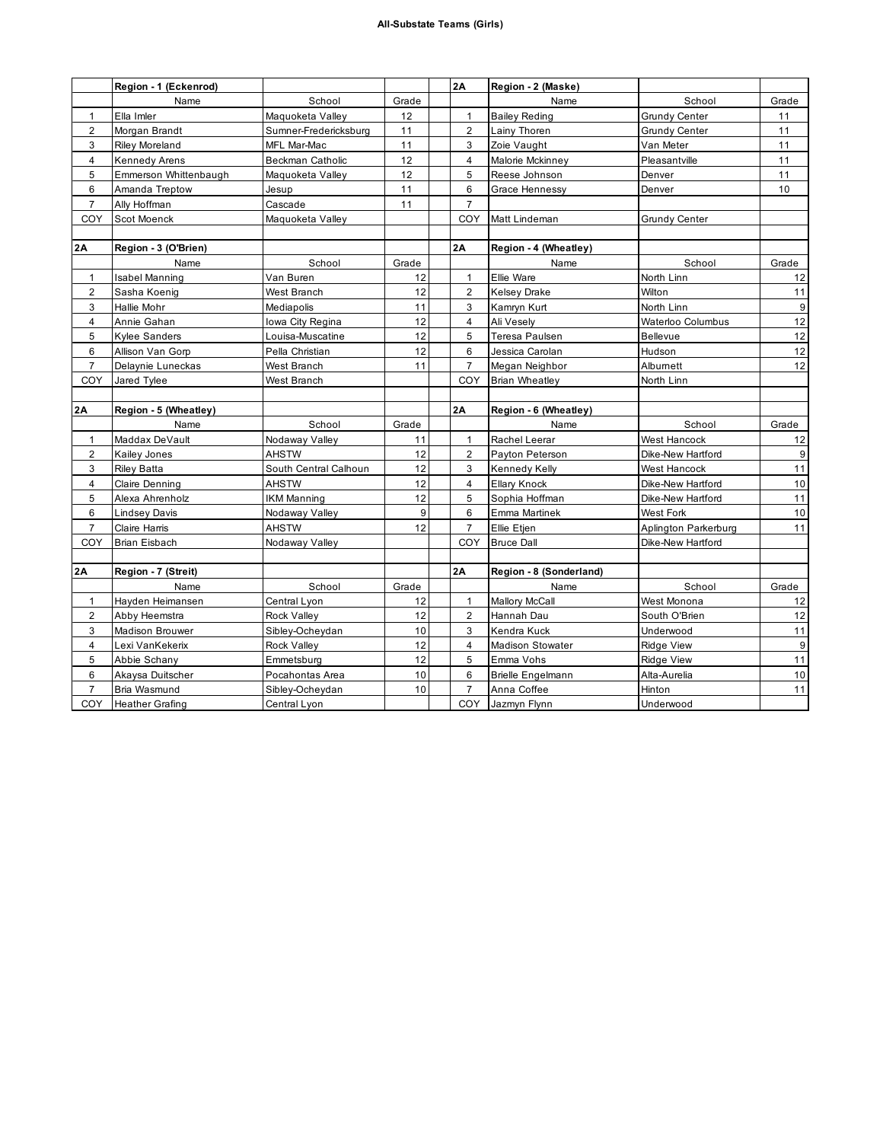|                | Region - 1 (Eckenrod)  |                         |       | 2A             | Region - 2 (Maske)       |                      |       |
|----------------|------------------------|-------------------------|-------|----------------|--------------------------|----------------------|-------|
|                | Name                   | School                  | Grade |                | Name                     | School               | Grade |
| $\mathbf{1}$   | Ella Imler             | Maquoketa Valley        | 12    | $\mathbf{1}$   | <b>Bailey Reding</b>     | <b>Grundy Center</b> | 11    |
| $\overline{2}$ | Morgan Brandt          | Sumner-Fredericksburg   | 11    | $\overline{2}$ | Lainy Thoren             | Grundy Center        | 11    |
| 3              | <b>Riley Moreland</b>  | MFL Mar-Mac             | 11    | 3              | Zoie Vaught              | Van Meter            | 11    |
| 4              | Kennedy Arens          | <b>Beckman Catholic</b> | 12    | 4              | Malorie Mckinney         | Pleasantville        | 11    |
| 5              | Emmerson Whittenbaugh  | Maquoketa Valley        | 12    | 5              | Reese Johnson            | Denver               | 11    |
| 6              | Amanda Treptow         | Jesup                   | 11    | 6              | Grace Hennessy           | Denver               | 10    |
| $\overline{7}$ | Ally Hoffman           | Cascade                 | 11    | $\overline{7}$ |                          |                      |       |
| COY            | Scot Moenck            | Maquoketa Valley        |       | COY            | Matt Lindeman            | <b>Grundy Center</b> |       |
|                |                        |                         |       |                |                          |                      |       |
| 2Α             | Region - 3 (O'Brien)   |                         |       | 2A             | Region - 4 (Wheatley)    |                      |       |
|                | Name                   | School                  | Grade |                | Name                     | School               | Grade |
| $\mathbf{1}$   | Isabel Manning         | Van Buren               | 12    | 1              | Ellie Ware               | North Linn           | 12    |
| $\overline{2}$ | Sasha Koenig           | West Branch             | 12    | $\overline{2}$ | <b>Kelsey Drake</b>      | Wilton               | 11    |
| 3              | Hallie Mohr            | Mediapolis              | 11    | 3              | Kamryn Kurt              | North Linn           | 9     |
| 4              | Annie Gahan            | Iowa City Regina        | 12    | 4              | Ali Vesely               | Waterloo Columbus    | 12    |
| 5              | <b>Kylee Sanders</b>   | Louisa-Muscatine        | 12    | 5              | Teresa Paulsen           | <b>Bellevue</b>      | 12    |
| 6              | Allison Van Gorp       | Pella Christian         | 12    | 6              | Jessica Carolan          | Hudson               | 12    |
| $\overline{7}$ | Delaynie Luneckas      | West Branch             | 11    | $\overline{7}$ | Megan Neighbor           | Albumett             | 12    |
| COY            | Jared Tylee            | West Branch             |       | COY            | <b>Brian Wheatley</b>    | North Linn           |       |
|                |                        |                         |       |                |                          |                      |       |
| 2Α             | Region - 5 (Wheatley)  |                         |       | 2A             | Region - 6 (Wheatley)    |                      |       |
|                | Name                   | School                  | Grade |                | Name                     | School               | Grade |
| $\mathbf{1}$   | Maddax DeVault         | Nodaway Valley          | 11    | $\mathbf{1}$   | Rachel Leerar            | West Hancock         | 12    |
| $\overline{2}$ | Kailey Jones           | <b>AHSTW</b>            | 12    | $\overline{2}$ | Payton Peterson          | Dike-New Hartford    | 9     |
| 3              | <b>Riley Batta</b>     | South Central Calhoun   | 12    | 3              | Kennedy Kelly            | West Hancock         | 11    |
| $\overline{4}$ | Claire Denning         | AHSTW                   | 12    | $\overline{4}$ | <b>Ellary Knock</b>      | Dike-New Hartford    | 10    |
| 5              | Alexa Ahrenholz        | <b>IKM Manning</b>      | 12    | 5              | Sophia Hoffman           | Dike-New Hartford    | 11    |
| 6              | Lindsey Davis          | Nodaway Valley          | 9     | 6              | Emma Martinek            | West Fork            | 10    |
| $\overline{7}$ | Claire Harris          | <b>AHSTW</b>            | 12    | $\overline{7}$ | Ellie Etjen              | Aplington Parkerburg | 11    |
| COY            | Brian Eisbach          | Nodaway Valley          |       | COY            | <b>Bruce Dall</b>        | Dike-New Hartford    |       |
|                |                        |                         |       |                |                          |                      |       |
| 2Α             | Region - 7 (Streit)    |                         |       | 2A             | Region - 8 (Sonderland)  |                      |       |
|                | Name                   | School                  | Grade |                | Name                     | School               | Grade |
| $\mathbf{1}$   | Hayden Heimansen       | Central Lyon            | 12    | $\mathbf{1}$   | <b>Mallory McCall</b>    | West Monona          | 12    |
| $\overline{c}$ | Abby Heemstra          | <b>Rock Valley</b>      | 12    | $\overline{2}$ | Hannah Dau               | South O'Brien        | 12    |
| 3              | <b>Madison Brouwer</b> | Sibley-Ocheydan         | 10    | 3              | Kendra Kuck              | Underwood            | 11    |
| 4              | Lexi VanKekerix        | <b>Rock Valley</b>      | 12    | $\overline{4}$ | Madison Stowater         | <b>Ridge View</b>    | 9     |
| 5              | Abbie Schany           | Emmetsburg              | 12    | 5              | Emma Vohs                | <b>Ridge View</b>    | 11    |
| 6              | Akaysa Duitscher       | Pocahontas Area         | 10    | 6              | <b>Brielle Engelmann</b> | Alta-Aurelia         | 10    |
| $\overline{7}$ | Bria Wasmund           | Sibley-Ocheydan         | 10    | $\overline{7}$ | Anna Coffee              | Hinton               | 11    |
| COY            | <b>Heather Grafing</b> | Central Lyon            |       | COY            | Jazmyn Flynn             | Underwood            |       |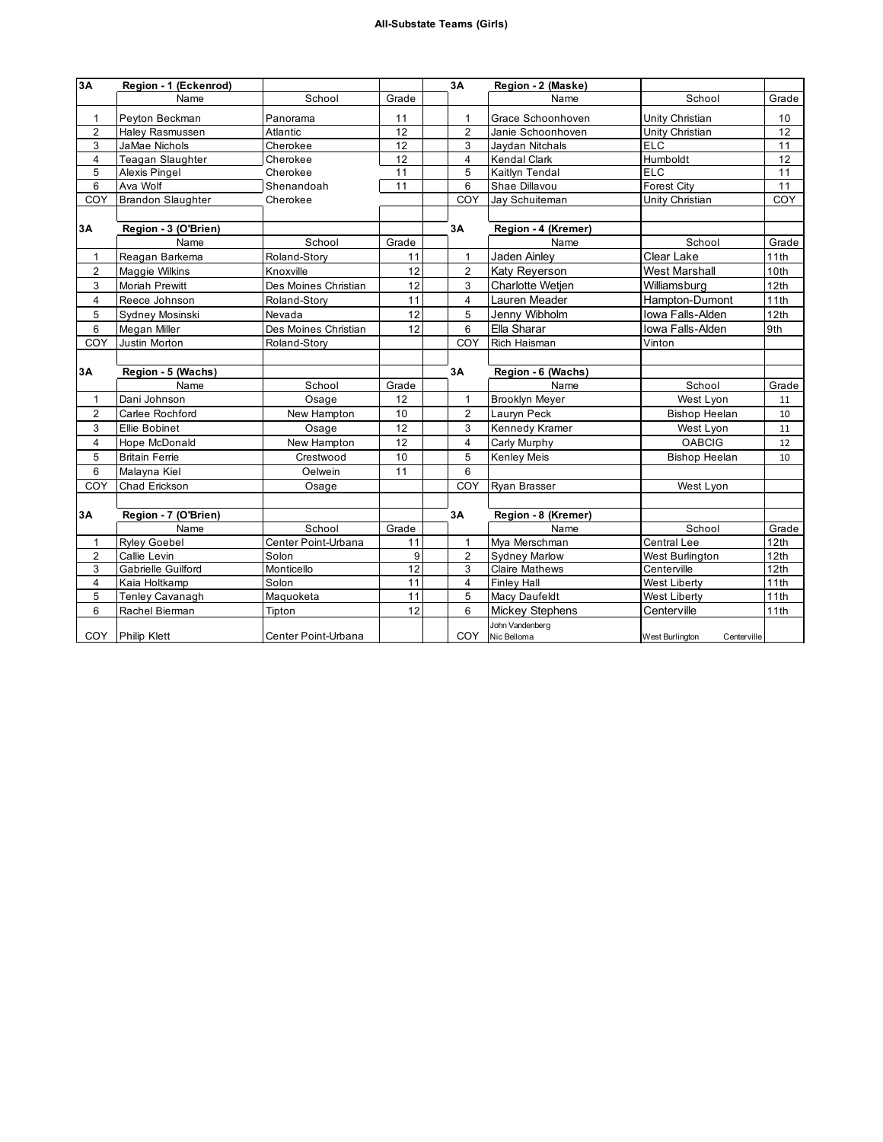| 3A             | Region - 1 (Eckenrod)    |                      |       | 3A                      | Region - 2 (Maske)             |                                |                 |
|----------------|--------------------------|----------------------|-------|-------------------------|--------------------------------|--------------------------------|-----------------|
|                | Name                     | School               | Grade |                         | Name                           | School                         | Grade           |
| 1              | Peyton Beckman           | Panorama             | 11    | 1                       | Grace Schoonhoven              | Unity Christian                | 10 <sup>1</sup> |
| $\overline{2}$ | Haley Rasmussen          | Atlantic             | 12    | $\overline{2}$          | Janie Schoonhoven              | Unity Christian                | 12              |
| 3              | <b>JaMae Nichols</b>     | Cherokee             | 12    | 3                       | Jaydan Nitchals                | <b>ELC</b>                     | 11              |
| 4              | <b>Teagan Slaughter</b>  | Cherokee             | 12    | $\overline{4}$          | Kendal Clark                   | Humboldt                       | 12              |
| 5              | Alexis Pingel            | Cherokee             | 11    | 5                       | Kaitlyn Tendal                 | <b>ELC</b>                     | 11              |
| 6              | Ava Wolf                 | Shenandoah           | 11    | 6                       | Shae Dillavou                  | <b>Forest City</b>             | 11              |
| COY            | <b>Brandon Slaughter</b> | Cherokee             |       | COY                     | Jay Schuiteman                 | Unity Christian                | COY             |
|                |                          |                      |       |                         |                                |                                |                 |
| 3A             | Region - 3 (O'Brien)     |                      |       | 3A                      | Region - 4 (Kremer)            |                                |                 |
|                | Name                     | School               | Grade |                         | Name                           | School                         | Grade           |
| 1              | Reagan Barkema           | Roland-Story         | 11    | 1                       | Jaden Ainley                   | Clear Lake                     | 11th            |
| 2              | Maggie Wilkins           | Knoxville            | 12    | $\overline{2}$          | Katy Reyerson                  | <b>West Marshall</b>           | 10th            |
| 3              | Moriah Prewitt           | Des Moines Christian | 12    | 3                       | <b>Charlotte Wetien</b>        | Williamsburg                   | 12th            |
| 4              | Reece Johnson            | Roland-Story         | 11    | $\overline{4}$          | Lauren Meader                  | Hampton-Dumont                 | 11th            |
| 5              | Sydney Mosinski          | Nevada               | 12    | 5                       | Jenny Wibholm                  | Iowa Falls-Alden               | 12th            |
| 6              | Megan Miller             | Des Moines Christian | 12    | 6                       | Ella Sharar                    | Iowa Falls-Alden               | 9th             |
| COY            | Justin Morton            | Roland-Story         |       | COY                     | Rich Haisman                   | Vinton                         |                 |
|                |                          |                      |       |                         |                                |                                |                 |
| 3A             | Region - 5 (Wachs)       |                      |       | 3A                      | Region - 6 (Wachs)             |                                |                 |
|                | Name                     | School               | Grade |                         | Name                           | School                         | Grade           |
| $\mathbf{1}$   | Dani Johnson             | Osage                | 12    | $\mathbf{1}$            | <b>Brooklyn Meyer</b>          | West Lyon                      | 11              |
| $\overline{2}$ | Carlee Rochford          | New Hampton          | 10    | $\overline{2}$          | Lauryn Peck                    | <b>Bishop Heelan</b>           | 10              |
| 3              | <b>Ellie Bobinet</b>     | Osage                | 12    | 3                       | Kennedy Kramer                 | West Lyon                      | 11              |
| 4              | Hope McDonald            | New Hampton          | 12    | $\overline{4}$          | Carly Murphy                   | <b>OABCIG</b>                  | 12              |
| 5              | <b>Britain Ferrie</b>    | Crestwood            | 10    | 5                       | Kenley Meis                    | <b>Bishop Heelan</b>           | 10              |
| 6              | Malayna Kiel             | Oelwein              | 11    | 6                       |                                |                                |                 |
| COY            | Chad Erickson            | Osage                |       | COY                     | Ryan Brasser                   | West Lyon                      |                 |
|                |                          |                      |       |                         |                                |                                |                 |
| 3A             | Region - 7 (O'Brien)     |                      |       | 3A                      | Region - 8 (Kremer)            |                                |                 |
|                | Name                     | School               | Grade |                         | Name                           | School                         | Grade           |
| 1              | <b>Ryley Goebel</b>      | Center Point-Urbana  | 11    | 1                       | Mya Merschman                  | <b>Central Lee</b>             | 12th            |
| $\overline{2}$ | Callie Levin             | Solon                | 9     | $\overline{2}$          | <b>Sydney Marlow</b>           | West Burlington                | 12th            |
| 3              | Gabrielle Guilford       | Monticello           | 12    | 3                       | <b>Claire Mathews</b>          | Centerville                    | 12th            |
| 4              | Kaia Holtkamp            | Solon                | 11    | $\overline{\mathbf{4}}$ | <b>Finley Hall</b>             | <b>West Liberty</b>            | 11th            |
| 5              | Tenley Cavanagh          | Maquoketa            | 11    | 5                       | Macy Daufeldt                  | <b>West Liberty</b>            | 11th            |
| 6              | Rachel Bierman           | Tipton               | 12    | 6                       | <b>Mickey Stephens</b>         | Centerville                    | 11th            |
| COY            | <b>Philip Klett</b>      | Center Point-Urbana  |       | COY                     | John Vandenberg<br>Nic Belloma | West Burlington<br>Centerville |                 |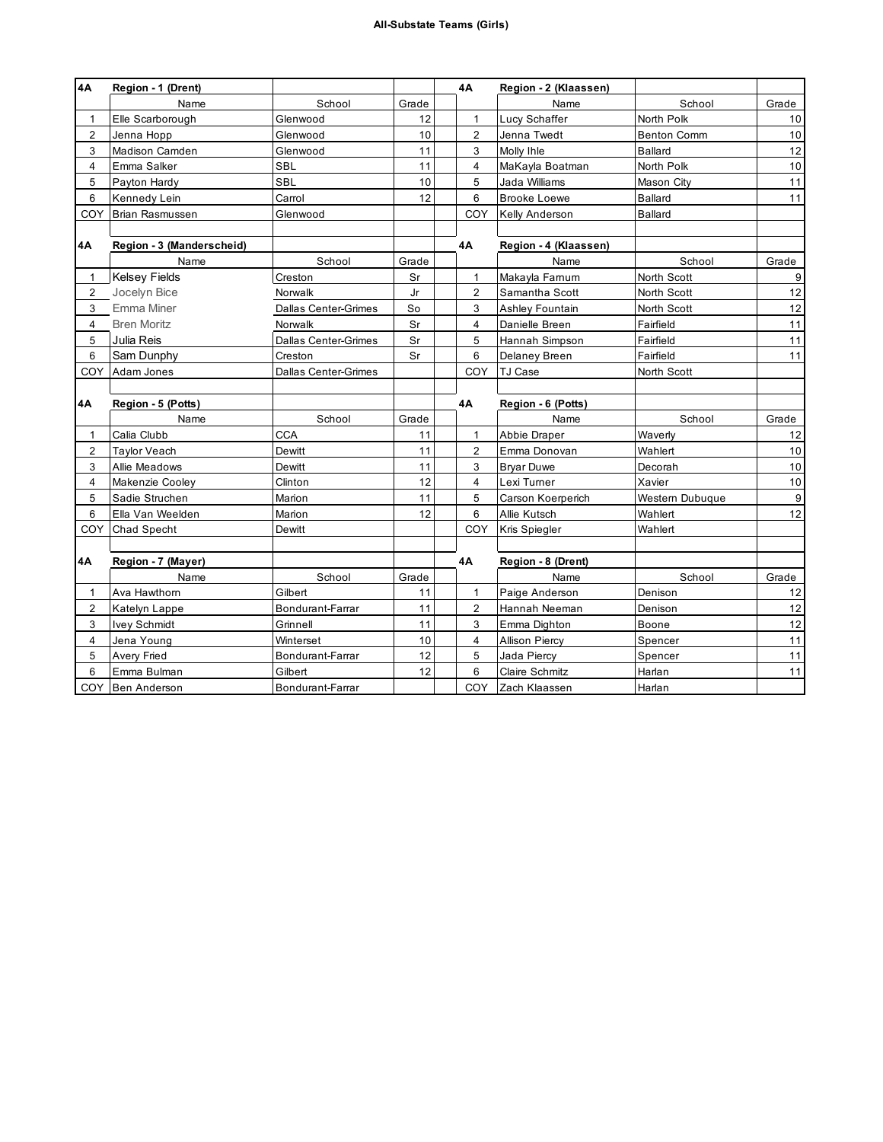| <b>4A</b>      | Region - 1 (Drent)        |                      |       | 4A             | Region - 2 (Klaassen) |                    |                  |
|----------------|---------------------------|----------------------|-------|----------------|-----------------------|--------------------|------------------|
|                | Name                      | School               | Grade |                | Name                  | School             | Grade            |
| $\mathbf{1}$   | Elle Scarborough          | Glenwood             | 12    | 1              | Lucy Schaffer         | North Polk         | 10               |
| 2              | Jenna Hopp                | Glenwood             | 10    | $\overline{2}$ | Jenna Twedt           | <b>Benton Comm</b> | 10               |
| 3              | Madison Camden            | Glenwood             | 11    | 3              | Molly Ihle            | Ballard            | 12               |
| $\overline{4}$ | Emma Salker               | SBL                  | 11    | $\overline{4}$ | MaKayla Boatman       | North Polk         | 10               |
| 5              | Payton Hardy              | <b>SBL</b>           | 10    | 5              | Jada Williams         | Mason City         | 11               |
| 6              | Kennedy Lein              | Carrol               | 12    | 6              | <b>Brooke Loewe</b>   | <b>Ballard</b>     | 11               |
| COY            | <b>Brian Rasmussen</b>    | Glenwood             |       | COY            | <b>Kelly Anderson</b> | <b>Ballard</b>     |                  |
|                |                           |                      |       |                |                       |                    |                  |
| 4Α             | Region - 3 (Manderscheid) |                      |       | 4A             | Region - 4 (Klaassen) |                    |                  |
|                | Name                      | School               | Grade |                | Name                  | School             | Grade            |
| $\mathbf{1}$   | <b>Kelsey Fields</b>      | Creston              | Sr    | $\mathbf{1}$   | Makayla Farnum        | North Scott        | 9                |
| 2              | Jocelyn Bice              | Norwalk              | Jr    | 2              | Samantha Scott        | North Scott        | 12               |
| 3              | Emma Miner                | Dallas Center-Grimes | So    | 3              | Ashley Fountain       | North Scott        | 12               |
| 4              | <b>Bren Moritz</b>        | Norwalk              | Sr    | $\overline{4}$ | Danielle Breen        | Fairfield          | 11               |
| 5              | Julia Reis                | Dallas Center-Grimes | Sr    | 5              | Hannah Simpson        | Fairfield          | 11               |
| 6              | Sam Dunphy                | Creston              | Sr    | 6              | Delaney Breen         | Fairfield          | 11               |
| COY            | Adam Jones                | Dallas Center-Grimes |       | COY            | <b>TJ Case</b>        | North Scott        |                  |
|                |                           |                      |       |                |                       |                    |                  |
| 4Α             | Region - 5 (Potts)        |                      |       | 4Α             | Region - 6 (Potts)    |                    |                  |
|                | Name                      | School               | Grade |                | Name                  | School             | Grade            |
| $\mathbf{1}$   | Calia Clubb               | <b>CCA</b>           | 11    | 1              | Abbie Draper          | Waverly            | 12               |
| 2              | Taylor Veach              | Dewitt               | 11    | $\overline{2}$ | Emma Donovan          | Wahlert            | 10               |
| 3              | Allie Meadows             | Dewitt               | 11    | 3              | <b>Bryar Duwe</b>     | Decorah            | 10               |
| 4              | Makenzie Cooley           | Clinton              | 12    | 4              | Lexi Turner           | Xavier             | $10$             |
| 5              | Sadie Struchen            | Marion               | 11    | 5              | Carson Koerperich     | Western Dubuque    | $\boldsymbol{9}$ |
| 6              | Ella Van Weelden          | Marion               | 12    | 6              | Allie Kutsch          | Wahlert            | 12               |
| COY            | Chad Specht               | Dewitt               |       | COY            | Kris Spiegler         | Wahlert            |                  |
|                |                           |                      |       |                |                       |                    |                  |
| 4A             | Region - 7 (Mayer)        |                      |       | 4Α             | Region - 8 (Drent)    |                    |                  |
|                | Name                      | School               | Grade |                | Name                  | School             | Grade            |
| $\mathbf{1}$   | Ava Hawthorn              | Gilbert              | 11    | $\mathbf{1}$   | Paige Anderson        | Denison            | 12               |
| 2              | Katelyn Lappe             | Bondurant-Farrar     | 11    | $\overline{2}$ | Hannah Neeman         | Denison            | 12               |
| 3              | <b>Ivey Schmidt</b>       | Grinnell             | 11    | 3              | Emma Dighton          | Boone              | 12               |
| 4              | Jena Young                | Winterset            | 10    | $\overline{4}$ | <b>Allison Piercy</b> | Spencer            | 11               |
| 5              | Avery Fried               | Bondurant-Farrar     | 12    | 5              | Jada Piercy           | Spencer            | 11               |
| 6              | Emma Bulman               | Gilbert              | 12    | 6              | <b>Claire Schmitz</b> | Harlan             | 11               |
|                | COY Ben Anderson          | Bondurant-Farrar     |       | <b>COY</b>     | Zach Klaassen         | Harlan             |                  |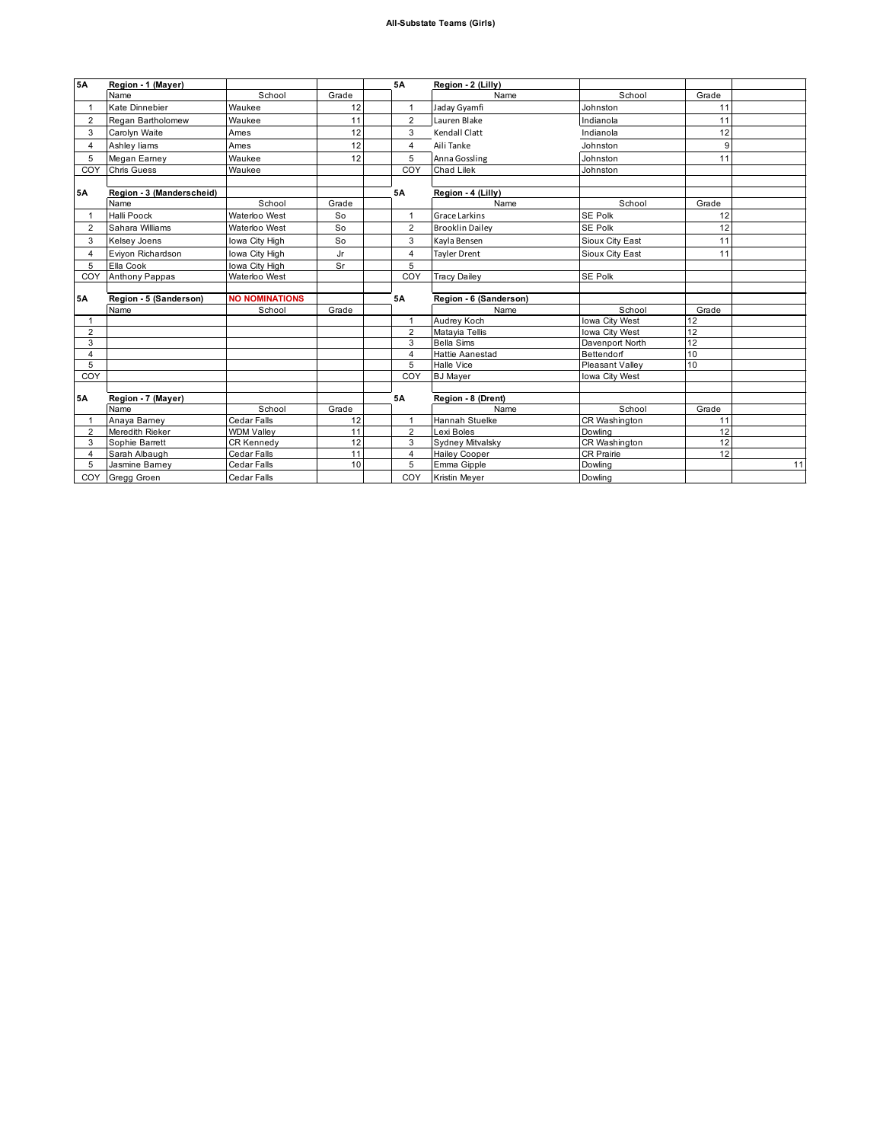| 5A             | Region - 1 (Mayer)        |                       |       | 5A             | Region - 2 (Lilly)     |                 |       |    |
|----------------|---------------------------|-----------------------|-------|----------------|------------------------|-----------------|-------|----|
|                | Name                      | School                | Grade |                | Name                   | School          | Grade |    |
|                | Kate Dinnebier            | Waukee                | 12    | $\mathbf{1}$   | Jaday Gyamfi           | Johnston        | 11    |    |
| $\overline{2}$ | Regan Bartholomew         | Waukee                | 11    | $\overline{2}$ | Lauren Blake           | Indianola       | 11    |    |
| 3              | Carolyn Waite             | Ames                  | 12    | 3              | Kendall Clatt          | Indianola       | 12    |    |
| 4              | Ashley liams              | Ames                  | 12    | $\overline{4}$ | Aili Tanke             | Johnston        | 9     |    |
| 5              | Megan Eamey               | Waukee                | 12    | 5              | Anna Gossling          | Johnston        | 11    |    |
| COY            | <b>Chris Guess</b>        | Waukee                |       | COY            | Chad Lilek             | Johnston        |       |    |
|                |                           |                       |       |                |                        |                 |       |    |
| <b>5A</b>      | Region - 3 (Manderscheid) |                       |       | <b>5A</b>      | Region - 4 (Lilly)     |                 |       |    |
|                | Name                      | School                | Grade |                | Name                   | School          | Grade |    |
|                | Halli Poock               | Waterloo West         | So    | $\mathbf{1}$   | Grace Larkins          | SE Polk         | 12    |    |
| $\overline{2}$ | Sahara Williams           | Waterloo West         | So    | $\overline{2}$ | <b>Brooklin Dailey</b> | SE Polk         | 12    |    |
| 3              | Kelsey Joens              | Iowa City High        | So    | $\mathbf{3}$   | Kayla Bensen           | Sioux City East | 11    |    |
| $\overline{4}$ | Eviyon Richardson         | Iowa City High        | Jr    | $\overline{4}$ | <b>Tayler Drent</b>    | Sioux City East | 11    |    |
| 5              | Ella Cook                 | Iowa City High        | Sr    | 5              |                        |                 |       |    |
| COY            | <b>Anthony Pappas</b>     | Waterloo West         |       | COY            | <b>Tracy Dailey</b>    | SE Polk         |       |    |
|                |                           |                       |       |                |                        |                 |       |    |
| <b>5A</b>      | Region - 5 (Sanderson)    | <b>NO NOMINATIONS</b> |       | <b>5A</b>      | Region - 6 (Sanderson) |                 |       |    |
|                | Name                      | School                | Grade |                | Name                   | School          | Grade |    |
|                |                           |                       |       | $\overline{1}$ | Audrey Koch            | Iowa City West  | 12    |    |
| 2              |                           |                       |       | $\overline{2}$ | Matayia Tellis         | Iowa City West  | 12    |    |
| 3              |                           |                       |       | 3              | <b>Bella Sims</b>      | Davenport North | 12    |    |
| $\overline{4}$ |                           |                       |       | $\overline{4}$ | <b>Hattie Aanestad</b> | Bettendorf      | 10    |    |
| 5              |                           |                       |       | 5              | Halle Vice             | Pleasant Valley | 10    |    |
| COY            |                           |                       |       | COY            | <b>BJ</b> Mayer        | Iowa City West  |       |    |
|                |                           |                       |       |                |                        |                 |       |    |
| <b>5A</b>      | Region - 7 (Mayer)        |                       |       | <b>5A</b>      | Region - 8 (Drent)     |                 |       |    |
|                | Name                      | School                | Grade |                | Name                   | School          | Grade |    |
|                | Anaya Bamey               | Cedar Falls           | 12    | $\mathbf{1}$   | Hannah Stuelke         | CR Washington   | 11    |    |
| $\overline{2}$ | Meredith Rieker           | <b>WDM Valley</b>     | 11    | $\overline{2}$ | Lexi Boles             | Dowling         | 12    |    |
| 3              | Sophie Barrett            | CR Kennedy            | 12    | 3              | Sydney Mitvalsky       | CR Washington   | 12    |    |
| 4              | Sarah Albaugh             | Cedar Falls           | 11    | $\overline{4}$ | <b>Hailey Cooper</b>   | CR Prairie      | 12    |    |
| 5              | Jasmine Barney            | Cedar Falls           | 10    | 5              | Emma Gipple            | Dowling         |       | 11 |
|                | COY Gregg Groen           | <b>Cedar Falls</b>    |       | COY            | Kristin Mever          | Dowling         |       |    |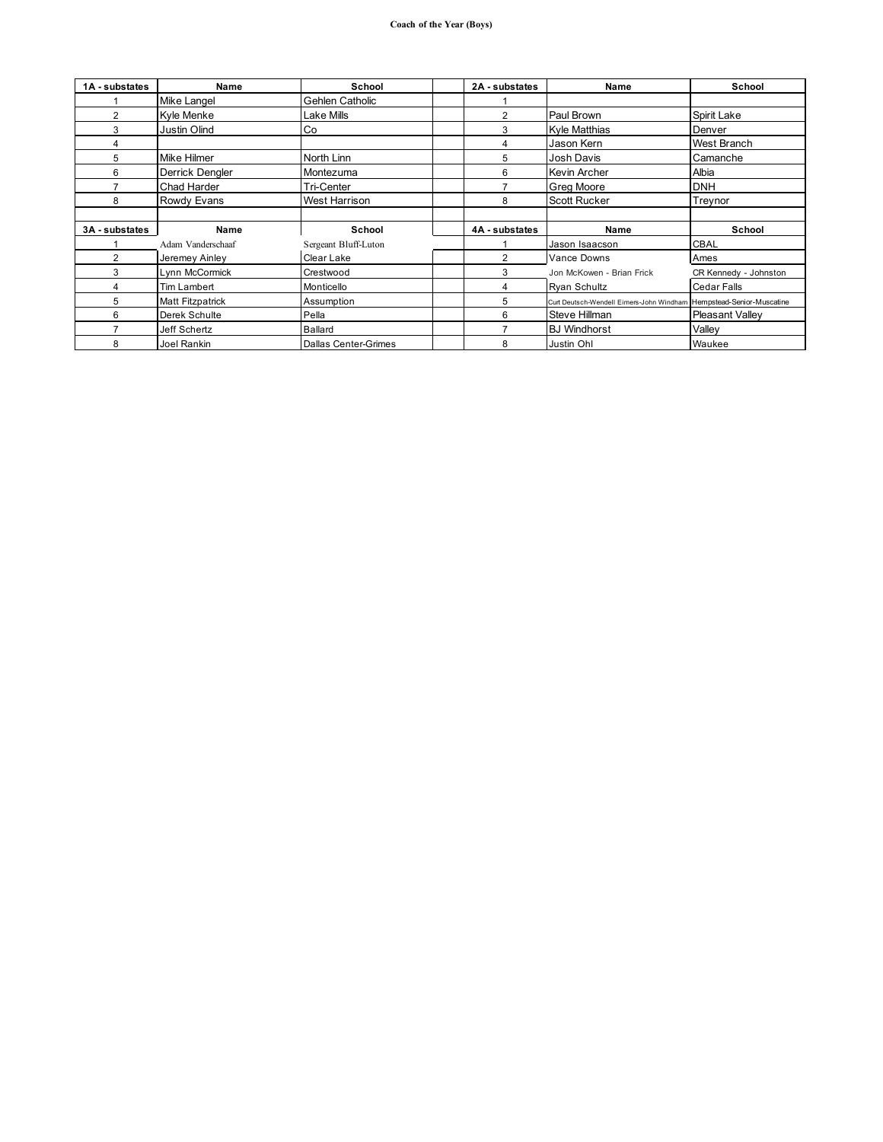| 1A - substates | <b>Name</b>       | School                      | 2A - substates | Name                                                                | School                 |
|----------------|-------------------|-----------------------------|----------------|---------------------------------------------------------------------|------------------------|
|                | Mike Langel       | Gehlen Catholic             |                |                                                                     |                        |
| $\overline{2}$ | Kyle Menke        | Lake Mills                  | $\overline{2}$ | Paul Brown                                                          | Spirit Lake            |
| 3              | Justin Olind      | Co                          | 3              | Kyle Matthias                                                       | Denver                 |
| 4              |                   |                             | 4              | Jason Kern                                                          | <b>West Branch</b>     |
| 5              | Mike Hilmer       | North Linn                  | 5              | Josh Davis                                                          | Camanche               |
| 6              | Derrick Dengler   | Montezuma                   | 6              | Kevin Archer                                                        | Albia                  |
|                | Chad Harder       | Tri-Center                  | 7              | Greg Moore                                                          | <b>DNH</b>             |
| 8              | Rowdy Evans       | West Harrison               | 8              | <b>Scott Rucker</b>                                                 | Treynor                |
|                |                   |                             |                |                                                                     |                        |
| 3A - substates | <b>Name</b>       | School                      | 4A - substates | Name                                                                | School                 |
|                | Adam Vanderschaaf | Sergeant Bluff-Luton        |                | Jason Isaacson                                                      | <b>CBAL</b>            |
| $\overline{2}$ | Jeremey Ainley    | Clear Lake                  | $\overline{2}$ | Vance Downs                                                         | Ames                   |
| 3              | Lynn McCormick    | Crestwood                   | 3              | Jon McKowen - Brian Frick                                           | CR Kennedy - Johnston  |
| 4              | Tim Lambert       | Monticello                  | 4              | <b>Ryan Schultz</b>                                                 | <b>Cedar Falls</b>     |
| 5              | Matt Fitzpatrick  | Assumption                  | 5              | Curt Deutsch-Wendell Eimers-John Windham Hempstead-Senior-Muscatine |                        |
| 6              | Derek Schulte     | Pella                       | 6              | Steve Hillman                                                       | <b>Pleasant Valley</b> |
| 7              | Jeff Schertz      | <b>Ballard</b>              | 7              | <b>BJ</b> Windhorst                                                 | Valley                 |
| 8              | Joel Rankin       | <b>Dallas Center-Grimes</b> | 8              | Justin Ohl                                                          | Waukee                 |